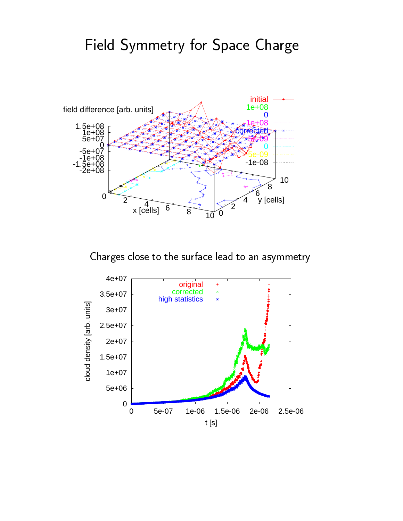## recovered to the contract of the contract of the contract of the contract of the contract of the contract of the contract of the contract of the contract of the contract of the contract of the contract of the contract of t



- - - - -

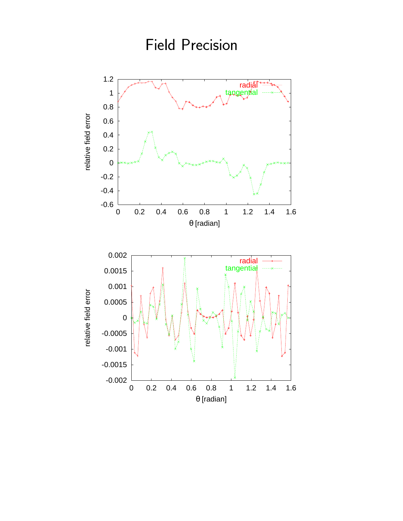

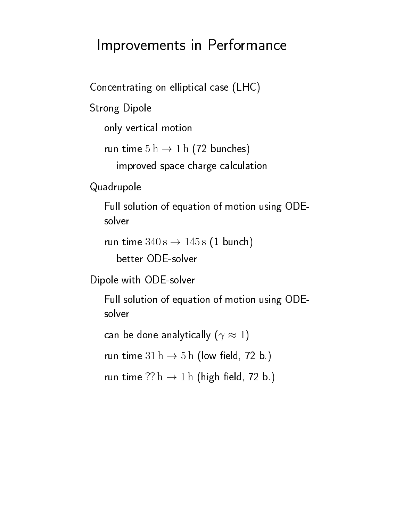## Improvements in Performance

Concentrating on elliptical case (LHC)

**Strong Dipole** 

only vertical motion

run time  $5 h \rightarrow 1 h$  (72 bunches)

improved space charge calculation

Quadrupole

Full solution of equation of motion using ODEsolver

```
run time 340s \rightarrow 145s (1 bunch)
```
better ODE-solver

Dipole with ODE-solver

Full solution of equation of motion using ODEsolver

can be done analytically  $(\gamma \approx 1)$ 

run time  $31 h \rightarrow 5 h$  (low field, 72 b.)

```
run time ?? h \rightarrow 1 h (high field, 72 b.)
```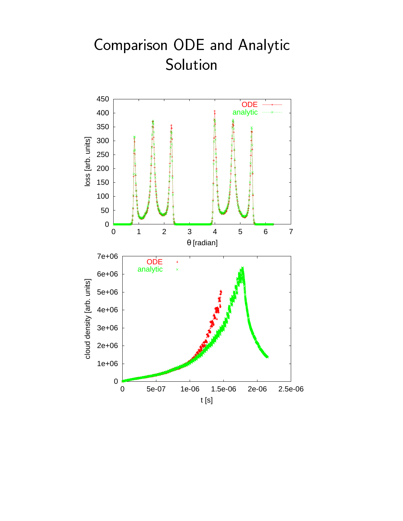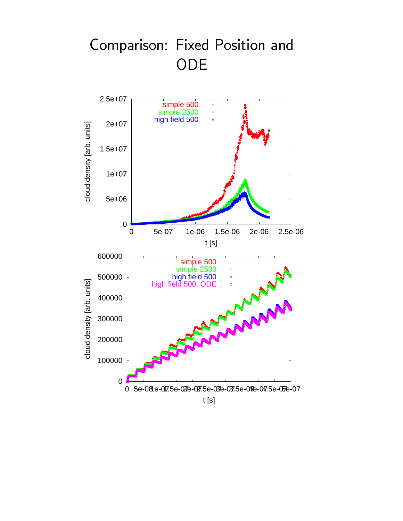## - ODE